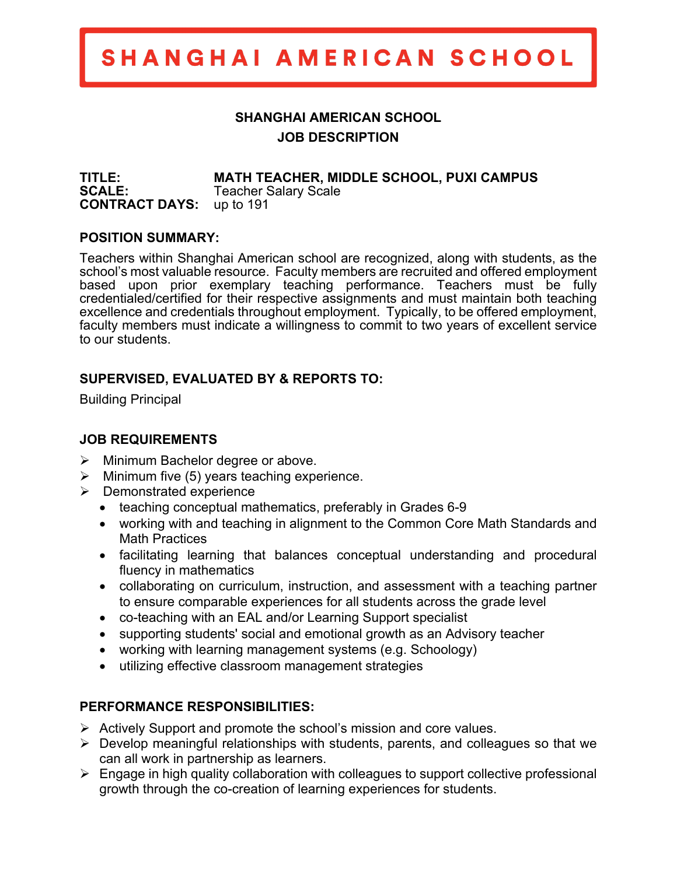## SHANGHAI AMERICAN SCHOOL

### **SHANGHAI AMERICAN SCHOOL JOB DESCRIPTION**

**TITLE: MATH TEACHER, MIDDLE SCHOOL, PUXI CAMPUS SCALE:** Teacher Salary Scale **CONTRACT DAYS:** up to 191

#### **POSITION SUMMARY:**

Teachers within Shanghai American school are recognized, along with students, as the school's most valuable resource. Faculty members are recruited and offered employment based upon prior exemplary teaching performance. Teachers must be fully credentialed/certified for their respective assignments and must maintain both teaching excellence and credentials throughout employment. Typically, to be offered employment, faculty members must indicate a willingness to commit to two years of excellent service to our students.

#### **SUPERVISED, EVALUATED BY & REPORTS TO:**

Building Principal

#### **JOB REQUIREMENTS**

- $\triangleright$  Minimum Bachelor degree or above.
- $\triangleright$  Minimum five (5) years teaching experience.
- $\triangleright$  Demonstrated experience
	- teaching conceptual mathematics, preferably in Grades 6-9
	- working with and teaching in alignment to the Common Core Math Standards and Math Practices
	- facilitating learning that balances conceptual understanding and procedural fluency in mathematics
	- collaborating on curriculum, instruction, and assessment with a teaching partner to ensure comparable experiences for all students across the grade level
	- co-teaching with an EAL and/or Learning Support specialist
	- supporting students' social and emotional growth as an Advisory teacher
	- working with learning management systems (e.g. Schoology)
	- utilizing effective classroom management strategies

#### **PERFORMANCE RESPONSIBILITIES:**

- $\triangleright$  Actively Support and promote the school's mission and core values.
- $\triangleright$  Develop meaningful relationships with students, parents, and colleagues so that we can all work in partnership as learners.
- $\triangleright$  Engage in high quality collaboration with colleagues to support collective professional growth through the co-creation of learning experiences for students.